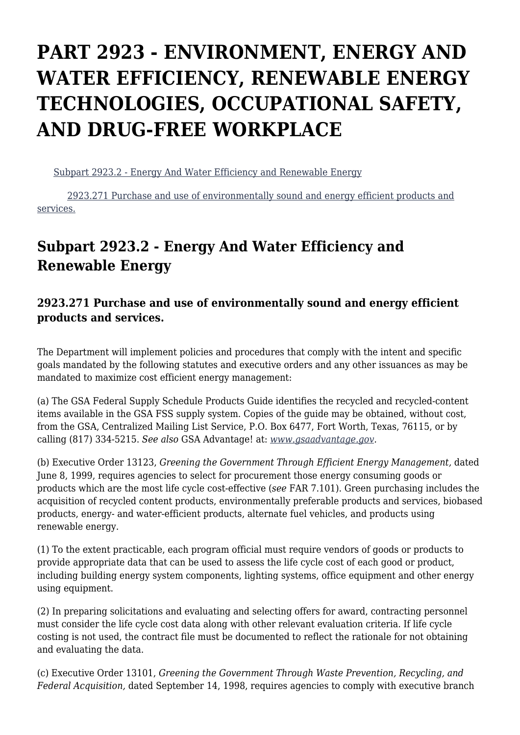## **PART 2923 - ENVIRONMENT, ENERGY AND WATER EFFICIENCY, RENEWABLE ENERGY TECHNOLOGIES, OCCUPATIONAL SAFETY, AND DRUG-FREE WORKPLACE**

[Subpart 2923.2 - Energy And Water Efficiency and Renewable Energy](https://www.acquisition.gov/%5Brp:link:dolar-part-2923%5D#Subpart_2923_2_T48_7014231)

 [2923.271 Purchase and use of environmentally sound and energy efficient products and](https://www.acquisition.gov/%5Brp:link:dolar-part-2923%5D#Section_2923_271_T48_701423111) [services.](https://www.acquisition.gov/%5Brp:link:dolar-part-2923%5D#Section_2923_271_T48_701423111)

## **Subpart 2923.2 - Energy And Water Efficiency and Renewable Energy**

## **2923.271 Purchase and use of environmentally sound and energy efficient products and services.**

The Department will implement policies and procedures that comply with the intent and specific goals mandated by the following statutes and executive orders and any other issuances as may be mandated to maximize cost efficient energy management:

(a) The GSA Federal Supply Schedule Products Guide identifies the recycled and recycled-content items available in the GSA FSS supply system. Copies of the guide may be obtained, without cost, from the GSA, Centralized Mailing List Service, P.O. Box 6477, Fort Worth, Texas, 76115, or by calling (817) 334-5215. *See also* GSA Advantage! at: *[www.gsaadvantage.gov.](http://www.gsaadvantage.gov)*

(b) Executive Order 13123, *Greening the Government Through Efficient Energy Management,* dated June 8, 1999, requires agencies to select for procurement those energy consuming goods or products which are the most life cycle cost-effective (*see* FAR 7.101). Green purchasing includes the acquisition of recycled content products, environmentally preferable products and services, biobased products, energy- and water-efficient products, alternate fuel vehicles, and products using renewable energy.

(1) To the extent practicable, each program official must require vendors of goods or products to provide appropriate data that can be used to assess the life cycle cost of each good or product, including building energy system components, lighting systems, office equipment and other energy using equipment.

(2) In preparing solicitations and evaluating and selecting offers for award, contracting personnel must consider the life cycle cost data along with other relevant evaluation criteria. If life cycle costing is not used, the contract file must be documented to reflect the rationale for not obtaining and evaluating the data.

(c) Executive Order 13101, *Greening the Government Through Waste Prevention, Recycling, and Federal Acquisition,* dated September 14, 1998, requires agencies to comply with executive branch